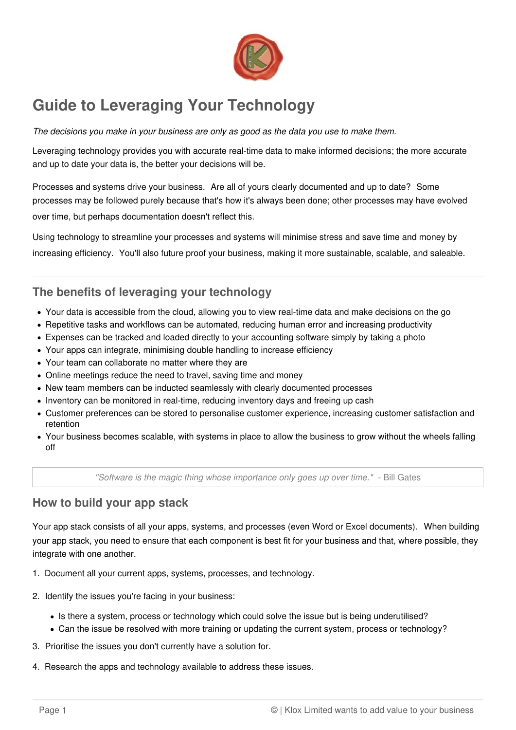

## **Guide to Leveraging Your Technology**

The decisions you make in your business are only as good as the data you use to make them.

Leveraging technology provides you with accurate real-time data to make informed decisions; the more accurate and up to date your data is, the better your decisions will be.

Processes and systems drive your business. Are all of yours clearly documented and up to date? Some processes may be followed purely because that's how it's always been done; other processes may have evolved over time, but perhaps documentation doesn't reflect this.

Using technology to streamline your processes and systems will minimise stress and save time and money by increasing efficiency. You'll also future proof your business, making it more sustainable, scalable, and saleable.

## **The benefits of leveraging your technology**

- Your data is accessible from the cloud, allowing you to view real-time data and make decisions on the go
- Repetitive tasks and workflows can be automated, reducing human error and increasing productivity
- Expenses can be tracked and loaded directly to your accounting software simply by taking a photo
- Your apps can integrate, minimising double handling to increase efficiency
- Your team can collaborate no matter where they are
- Online meetings reduce the need to travel, saving time and money
- New team members can be inducted seamlessly with clearly documented processes
- Inventory can be monitored in real-time, reducing inventory days and freeing up cash
- Customer preferences can be stored to personalise customer experience, increasing customer satisfaction and retention
- Your business becomes scalable, with systems in place to allow the business to grow without the wheels falling off

"Software is the magic thing whose importance only goes up over time." - Bill Gates

## **How to build your app stack**

Your app stack consists of all your apps, systems, and processes (even Word or Excel documents). When building your app stack, you need to ensure that each component is best fit for your business and that, where possible, they integrate with one another.

- 1. Document all your current apps, systems, processes, and technology.
- 2. Identify the issues you're facing in your business:
	- Is there a system, process or technology which could solve the issue but is being underutilised?
	- Can the issue be resolved with more training or updating the current system, process or technology?
- 3. Prioritise the issues you don't currently have a solution for.
- 4. Research the apps and technology available to address these issues.